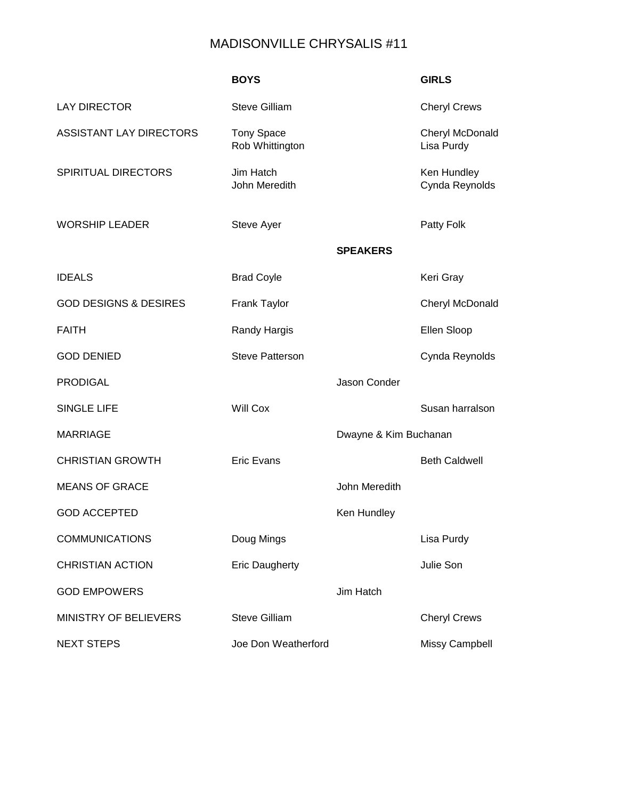## MADISONVILLE CHRYSALIS #11

|                                  | <b>BOYS</b>                          |                       | <b>GIRLS</b>                  |
|----------------------------------|--------------------------------------|-----------------------|-------------------------------|
| <b>LAY DIRECTOR</b>              | <b>Steve Gilliam</b>                 |                       | <b>Cheryl Crews</b>           |
| <b>ASSISTANT LAY DIRECTORS</b>   | <b>Tony Space</b><br>Rob Whittington |                       | Cheryl McDonald<br>Lisa Purdy |
| <b>SPIRITUAL DIRECTORS</b>       | Jim Hatch<br>John Meredith           |                       | Ken Hundley<br>Cynda Reynolds |
| <b>WORSHIP LEADER</b>            | Steve Ayer                           |                       | Patty Folk                    |
|                                  |                                      | <b>SPEAKERS</b>       |                               |
| <b>IDEALS</b>                    | <b>Brad Coyle</b>                    |                       | Keri Gray                     |
| <b>GOD DESIGNS &amp; DESIRES</b> | <b>Frank Taylor</b>                  |                       | Cheryl McDonald               |
| <b>FAITH</b>                     | <b>Randy Hargis</b>                  |                       | Ellen Sloop                   |
| <b>GOD DENIED</b>                | <b>Steve Patterson</b>               |                       | Cynda Reynolds                |
| <b>PRODIGAL</b>                  |                                      | Jason Conder          |                               |
| <b>SINGLE LIFE</b>               | <b>Will Cox</b>                      |                       | Susan harralson               |
| <b>MARRIAGE</b>                  |                                      | Dwayne & Kim Buchanan |                               |
| <b>CHRISTIAN GROWTH</b>          | <b>Eric Evans</b>                    |                       | <b>Beth Caldwell</b>          |
| <b>MEANS OF GRACE</b>            |                                      | John Meredith         |                               |
| <b>GOD ACCEPTED</b>              |                                      | Ken Hundley           |                               |
| <b>COMMUNICATIONS</b>            | Doug Mings                           |                       | Lisa Purdy                    |
| <b>CHRISTIAN ACTION</b>          | <b>Eric Daugherty</b>                |                       | Julie Son                     |
| <b>GOD EMPOWERS</b>              |                                      | Jim Hatch             |                               |
| MINISTRY OF BELIEVERS            | <b>Steve Gilliam</b>                 |                       | <b>Cheryl Crews</b>           |
| <b>NEXT STEPS</b>                | Joe Don Weatherford                  |                       | Missy Campbell                |